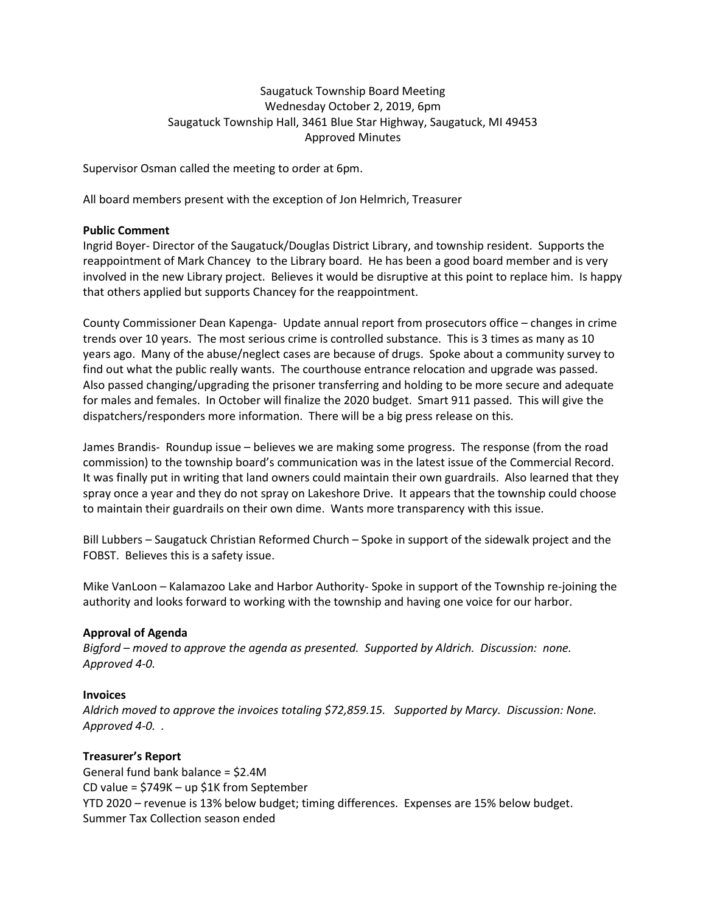## Saugatuck Township Board Meeting Wednesday October 2, 2019, 6pm Saugatuck Township Hall, 3461 Blue Star Highway, Saugatuck, MI 49453 Approved Minutes

Supervisor Osman called the meeting to order at 6pm.

All board members present with the exception of Jon Helmrich, Treasurer

### **Public Comment**

Ingrid Boyer- Director of the Saugatuck/Douglas District Library, and township resident. Supports the reappointment of Mark Chancey to the Library board. He has been a good board member and is very involved in the new Library project. Believes it would be disruptive at this point to replace him. Is happy that others applied but supports Chancey for the reappointment.

County Commissioner Dean Kapenga- Update annual report from prosecutors office – changes in crime trends over 10 years. The most serious crime is controlled substance. This is 3 times as many as 10 years ago. Many of the abuse/neglect cases are because of drugs. Spoke about a community survey to find out what the public really wants. The courthouse entrance relocation and upgrade was passed. Also passed changing/upgrading the prisoner transferring and holding to be more secure and adequate for males and females. In October will finalize the 2020 budget. Smart 911 passed. This will give the dispatchers/responders more information. There will be a big press release on this.

James Brandis- Roundup issue – believes we are making some progress. The response (from the road commission) to the township board's communication was in the latest issue of the Commercial Record. It was finally put in writing that land owners could maintain their own guardrails. Also learned that they spray once a year and they do not spray on Lakeshore Drive. It appears that the township could choose to maintain their guardrails on their own dime. Wants more transparency with this issue.

Bill Lubbers – Saugatuck Christian Reformed Church – Spoke in support of the sidewalk project and the FOBST. Believes this is a safety issue.

Mike VanLoon – Kalamazoo Lake and Harbor Authority- Spoke in support of the Township re-joining the authority and looks forward to working with the township and having one voice for our harbor.

## **Approval of Agenda**

*Bigford – moved to approve the agenda as presented. Supported by Aldrich. Discussion: none. Approved 4-0.* 

### **Invoices**

*Aldrich moved to approve the invoices totaling \$72,859.15. Supported by Marcy. Discussion: None. Approved 4-0. .*

## **Treasurer's Report**

General fund bank balance = \$2.4M CD value = \$749K – up \$1K from September YTD 2020 – revenue is 13% below budget; timing differences. Expenses are 15% below budget. Summer Tax Collection season ended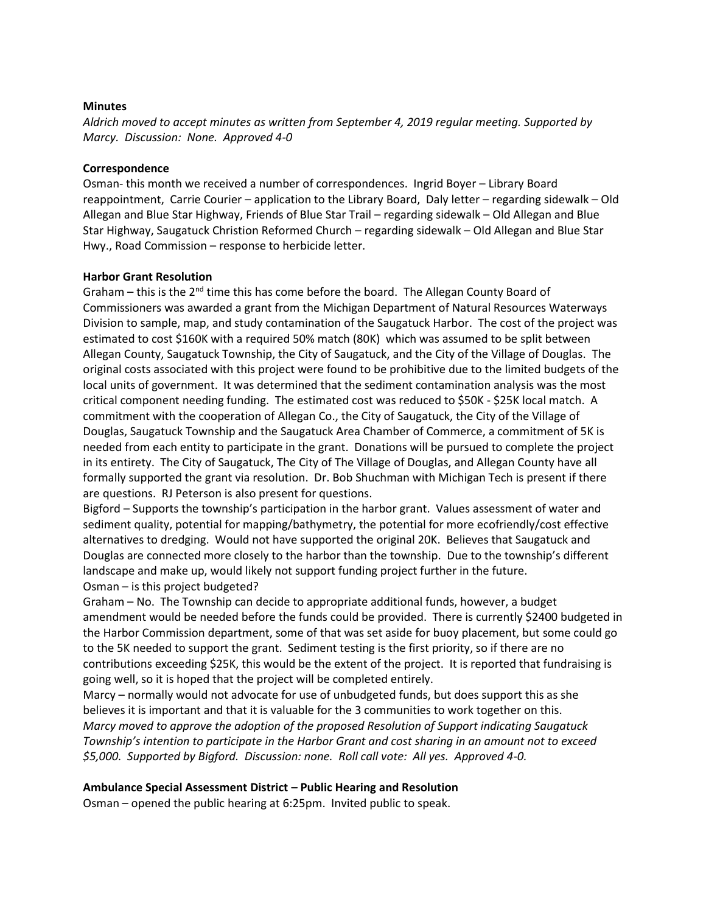### **Minutes**

*Aldrich moved to accept minutes as written from September 4, 2019 regular meeting. Supported by Marcy. Discussion: None. Approved 4-0*

### **Correspondence**

Osman- this month we received a number of correspondences. Ingrid Boyer – Library Board reappointment, Carrie Courier – application to the Library Board, Daly letter – regarding sidewalk – Old Allegan and Blue Star Highway, Friends of Blue Star Trail – regarding sidewalk – Old Allegan and Blue Star Highway, Saugatuck Christion Reformed Church – regarding sidewalk – Old Allegan and Blue Star Hwy., Road Commission – response to herbicide letter.

### **Harbor Grant Resolution**

Graham – this is the  $2^{nd}$  time this has come before the board. The Allegan County Board of Commissioners was awarded a grant from the Michigan Department of Natural Resources Waterways Division to sample, map, and study contamination of the Saugatuck Harbor. The cost of the project was estimated to cost \$160K with a required 50% match (80K) which was assumed to be split between Allegan County, Saugatuck Township, the City of Saugatuck, and the City of the Village of Douglas. The original costs associated with this project were found to be prohibitive due to the limited budgets of the local units of government. It was determined that the sediment contamination analysis was the most critical component needing funding. The estimated cost was reduced to \$50K - \$25K local match. A commitment with the cooperation of Allegan Co., the City of Saugatuck, the City of the Village of Douglas, Saugatuck Township and the Saugatuck Area Chamber of Commerce, a commitment of 5K is needed from each entity to participate in the grant. Donations will be pursued to complete the project in its entirety. The City of Saugatuck, The City of The Village of Douglas, and Allegan County have all formally supported the grant via resolution. Dr. Bob Shuchman with Michigan Tech is present if there are questions. RJ Peterson is also present for questions.

Bigford – Supports the township's participation in the harbor grant. Values assessment of water and sediment quality, potential for mapping/bathymetry, the potential for more ecofriendly/cost effective alternatives to dredging. Would not have supported the original 20K. Believes that Saugatuck and Douglas are connected more closely to the harbor than the township. Due to the township's different landscape and make up, would likely not support funding project further in the future. Osman – is this project budgeted?

Graham – No. The Township can decide to appropriate additional funds, however, a budget amendment would be needed before the funds could be provided. There is currently \$2400 budgeted in the Harbor Commission department, some of that was set aside for buoy placement, but some could go to the 5K needed to support the grant. Sediment testing is the first priority, so if there are no contributions exceeding \$25K, this would be the extent of the project. It is reported that fundraising is going well, so it is hoped that the project will be completed entirely.

Marcy – normally would not advocate for use of unbudgeted funds, but does support this as she believes it is important and that it is valuable for the 3 communities to work together on this. *Marcy moved to approve the adoption of the proposed Resolution of Support indicating Saugatuck Township's intention to participate in the Harbor Grant and cost sharing in an amount not to exceed \$5,000. Supported by Bigford. Discussion: none. Roll call vote: All yes. Approved 4-0.*

## **Ambulance Special Assessment District – Public Hearing and Resolution**

Osman – opened the public hearing at 6:25pm. Invited public to speak.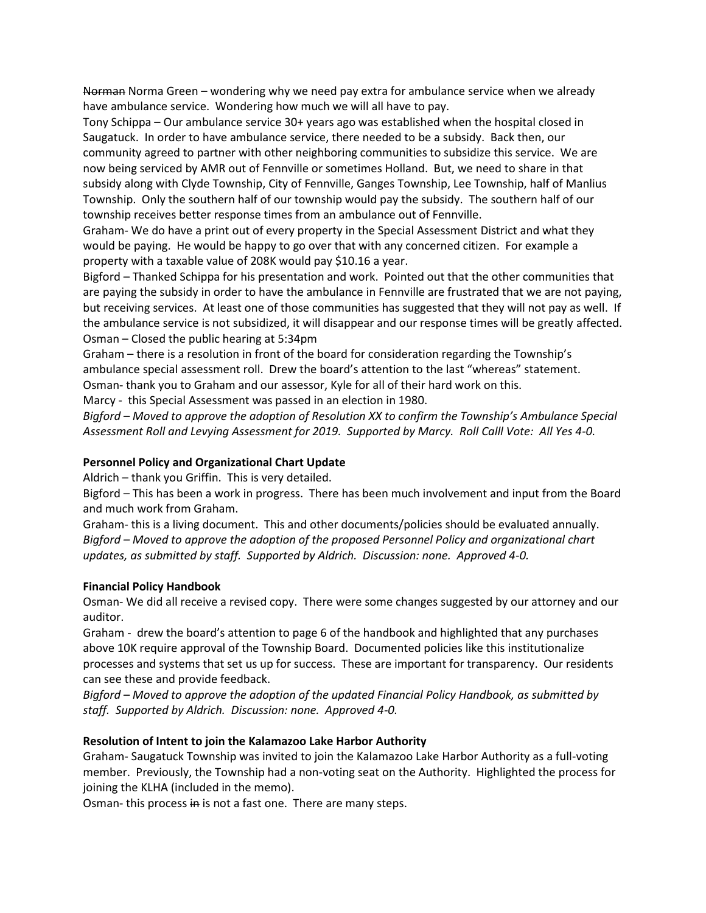Norman Norma Green – wondering why we need pay extra for ambulance service when we already have ambulance service. Wondering how much we will all have to pay.

Tony Schippa – Our ambulance service 30+ years ago was established when the hospital closed in Saugatuck. In order to have ambulance service, there needed to be a subsidy. Back then, our community agreed to partner with other neighboring communities to subsidize this service. We are now being serviced by AMR out of Fennville or sometimes Holland. But, we need to share in that subsidy along with Clyde Township, City of Fennville, Ganges Township, Lee Township, half of Manlius Township. Only the southern half of our township would pay the subsidy. The southern half of our township receives better response times from an ambulance out of Fennville.

Graham- We do have a print out of every property in the Special Assessment District and what they would be paying. He would be happy to go over that with any concerned citizen. For example a property with a taxable value of 208K would pay \$10.16 a year.

Bigford – Thanked Schippa for his presentation and work. Pointed out that the other communities that are paying the subsidy in order to have the ambulance in Fennville are frustrated that we are not paying, but receiving services. At least one of those communities has suggested that they will not pay as well. If the ambulance service is not subsidized, it will disappear and our response times will be greatly affected. Osman – Closed the public hearing at 5:34pm

Graham – there is a resolution in front of the board for consideration regarding the Township's ambulance special assessment roll. Drew the board's attention to the last "whereas" statement. Osman- thank you to Graham and our assessor, Kyle for all of their hard work on this.

Marcy - this Special Assessment was passed in an election in 1980.

*Bigford – Moved to approve the adoption of Resolution XX to confirm the Township's Ambulance Special Assessment Roll and Levying Assessment for 2019. Supported by Marcy. Roll Calll Vote: All Yes 4-0.*

## **Personnel Policy and Organizational Chart Update**

Aldrich – thank you Griffin. This is very detailed.

Bigford – This has been a work in progress. There has been much involvement and input from the Board and much work from Graham.

Graham- this is a living document. This and other documents/policies should be evaluated annually. *Bigford – Moved to approve the adoption of the proposed Personnel Policy and organizational chart updates, as submitted by staff. Supported by Aldrich. Discussion: none. Approved 4-0.* 

### **Financial Policy Handbook**

Osman- We did all receive a revised copy. There were some changes suggested by our attorney and our auditor.

Graham - drew the board's attention to page 6 of the handbook and highlighted that any purchases above 10K require approval of the Township Board. Documented policies like this institutionalize processes and systems that set us up for success. These are important for transparency. Our residents can see these and provide feedback.

*Bigford – Moved to approve the adoption of the updated Financial Policy Handbook, as submitted by staff. Supported by Aldrich. Discussion: none. Approved 4-0.*

## **Resolution of Intent to join the Kalamazoo Lake Harbor Authority**

Graham- Saugatuck Township was invited to join the Kalamazoo Lake Harbor Authority as a full-voting member. Previously, the Township had a non-voting seat on the Authority. Highlighted the process for joining the KLHA (included in the memo).

Osman- this process in is not a fast one. There are many steps.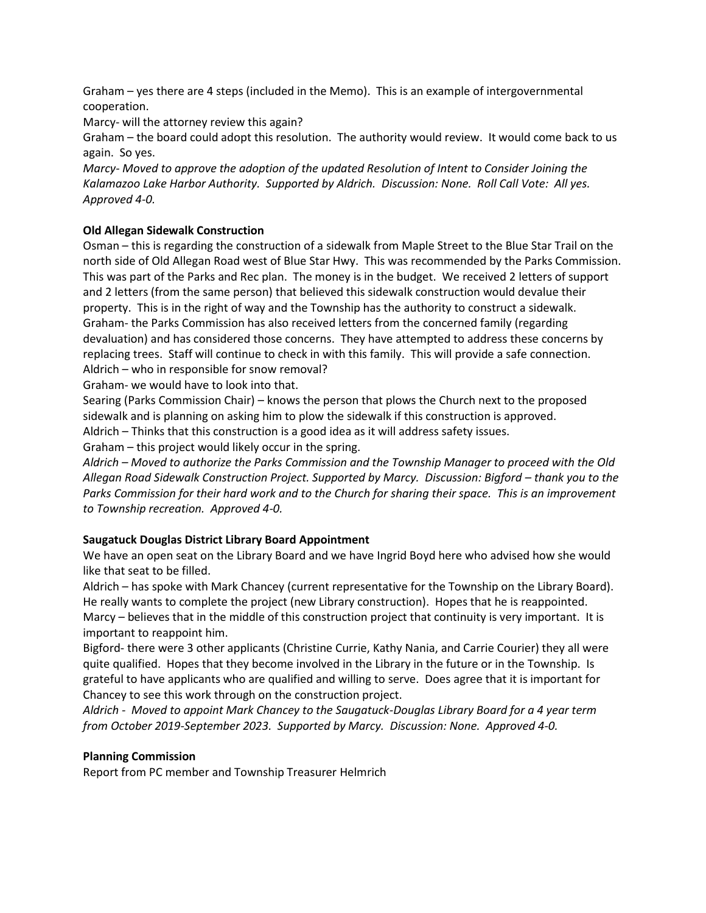Graham – yes there are 4 steps (included in the Memo). This is an example of intergovernmental cooperation.

Marcy- will the attorney review this again?

Graham – the board could adopt this resolution. The authority would review. It would come back to us again. So yes.

*Marcy- Moved to approve the adoption of the updated Resolution of Intent to Consider Joining the Kalamazoo Lake Harbor Authority. Supported by Aldrich. Discussion: None. Roll Call Vote: All yes. Approved 4-0.* 

# **Old Allegan Sidewalk Construction**

Osman – this is regarding the construction of a sidewalk from Maple Street to the Blue Star Trail on the north side of Old Allegan Road west of Blue Star Hwy. This was recommended by the Parks Commission. This was part of the Parks and Rec plan. The money is in the budget. We received 2 letters of support and 2 letters (from the same person) that believed this sidewalk construction would devalue their property. This is in the right of way and the Township has the authority to construct a sidewalk. Graham- the Parks Commission has also received letters from the concerned family (regarding devaluation) and has considered those concerns. They have attempted to address these concerns by replacing trees. Staff will continue to check in with this family. This will provide a safe connection. Aldrich – who in responsible for snow removal?

Graham- we would have to look into that.

Searing (Parks Commission Chair) – knows the person that plows the Church next to the proposed sidewalk and is planning on asking him to plow the sidewalk if this construction is approved.

Aldrich – Thinks that this construction is a good idea as it will address safety issues.

Graham – this project would likely occur in the spring.

*Aldrich – Moved to authorize the Parks Commission and the Township Manager to proceed with the Old Allegan Road Sidewalk Construction Project. Supported by Marcy. Discussion: Bigford – thank you to the Parks Commission for their hard work and to the Church for sharing their space. This is an improvement to Township recreation. Approved 4-0.*

# **Saugatuck Douglas District Library Board Appointment**

We have an open seat on the Library Board and we have Ingrid Boyd here who advised how she would like that seat to be filled.

Aldrich – has spoke with Mark Chancey (current representative for the Township on the Library Board). He really wants to complete the project (new Library construction). Hopes that he is reappointed. Marcy – believes that in the middle of this construction project that continuity is very important. It is important to reappoint him.

Bigford- there were 3 other applicants (Christine Currie, Kathy Nania, and Carrie Courier) they all were quite qualified. Hopes that they become involved in the Library in the future or in the Township. Is grateful to have applicants who are qualified and willing to serve. Does agree that it is important for Chancey to see this work through on the construction project.

*Aldrich - Moved to appoint Mark Chancey to the Saugatuck-Douglas Library Board for a 4 year term from October 2019-September 2023. Supported by Marcy. Discussion: None. Approved 4-0.* 

## **Planning Commission**

Report from PC member and Township Treasurer Helmrich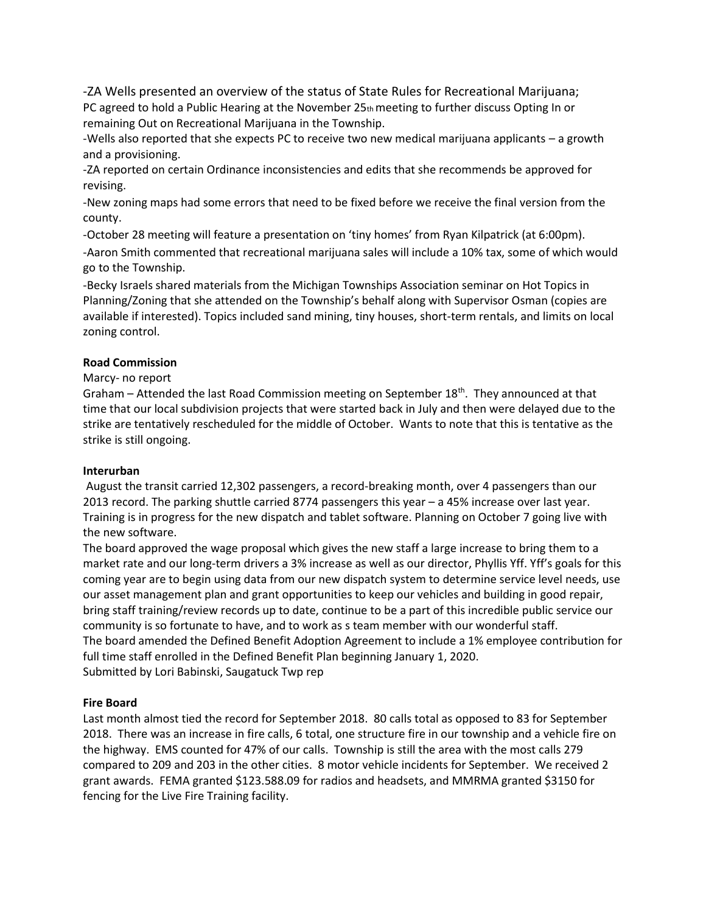-ZA Wells presented an overview of the status of State Rules for Recreational Marijuana; PC agreed to hold a Public Hearing at the November 25th meeting to further discuss Opting In or remaining Out on Recreational Marijuana in the Township.

-Wells also reported that she expects PC to receive two new medical marijuana applicants – a growth and a provisioning.

-ZA reported on certain Ordinance inconsistencies and edits that she recommends be approved for revising.

-New zoning maps had some errors that need to be fixed before we receive the final version from the county.

-October 28 meeting will feature a presentation on 'tiny homes' from Ryan Kilpatrick (at 6:00pm). -Aaron Smith commented that recreational marijuana sales will include a 10% tax, some of which would go to the Township.

-Becky Israels shared materials from the Michigan Townships Association seminar on Hot Topics in Planning/Zoning that she attended on the Township's behalf along with Supervisor Osman (copies are available if interested). Topics included sand mining, tiny houses, short-term rentals, and limits on local zoning control.

## **Road Commission**

## Marcy- no report

Graham – Attended the last Road Commission meeting on September 18<sup>th</sup>. They announced at that time that our local subdivision projects that were started back in July and then were delayed due to the strike are tentatively rescheduled for the middle of October. Wants to note that this is tentative as the strike is still ongoing.

## **Interurban**

August the transit carried 12,302 passengers, a record-breaking month, over 4 passengers than our 2013 record. The parking shuttle carried 8774 passengers this year – a 45% increase over last year. Training is in progress for the new dispatch and tablet software. Planning on October 7 going live with the new software.

The board approved the wage proposal which gives the new staff a large increase to bring them to a market rate and our long-term drivers a 3% increase as well as our director, Phyllis Yff. Yff's goals for this coming year are to begin using data from our new dispatch system to determine service level needs, use our asset management plan and grant opportunities to keep our vehicles and building in good repair, bring staff training/review records up to date, continue to be a part of this incredible public service our community is so fortunate to have, and to work as s team member with our wonderful staff. The board amended the Defined Benefit Adoption Agreement to include a 1% employee contribution for full time staff enrolled in the Defined Benefit Plan beginning January 1, 2020. Submitted by Lori Babinski, Saugatuck Twp rep

## **Fire Board**

Last month almost tied the record for September 2018. 80 calls total as opposed to 83 for September 2018. There was an increase in fire calls, 6 total, one structure fire in our township and a vehicle fire on the highway. EMS counted for 47% of our calls. Township is still the area with the most calls 279 compared to 209 and 203 in the other cities. 8 motor vehicle incidents for September. We received 2 grant awards. FEMA granted \$123.588.09 for radios and headsets, and MMRMA granted \$3150 for fencing for the Live Fire Training facility.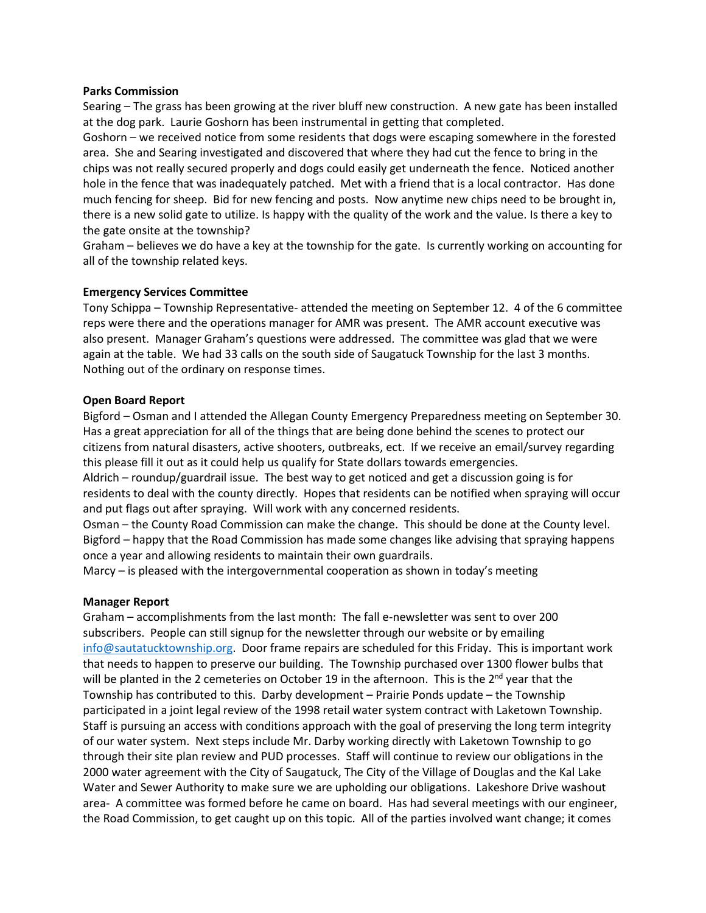### **Parks Commission**

Searing – The grass has been growing at the river bluff new construction. A new gate has been installed at the dog park. Laurie Goshorn has been instrumental in getting that completed.

Goshorn – we received notice from some residents that dogs were escaping somewhere in the forested area. She and Searing investigated and discovered that where they had cut the fence to bring in the chips was not really secured properly and dogs could easily get underneath the fence. Noticed another hole in the fence that was inadequately patched. Met with a friend that is a local contractor. Has done much fencing for sheep. Bid for new fencing and posts. Now anytime new chips need to be brought in, there is a new solid gate to utilize. Is happy with the quality of the work and the value. Is there a key to the gate onsite at the township?

Graham – believes we do have a key at the township for the gate. Is currently working on accounting for all of the township related keys.

### **Emergency Services Committee**

Tony Schippa – Township Representative- attended the meeting on September 12. 4 of the 6 committee reps were there and the operations manager for AMR was present. The AMR account executive was also present. Manager Graham's questions were addressed. The committee was glad that we were again at the table. We had 33 calls on the south side of Saugatuck Township for the last 3 months. Nothing out of the ordinary on response times.

#### **Open Board Report**

Bigford – Osman and I attended the Allegan County Emergency Preparedness meeting on September 30. Has a great appreciation for all of the things that are being done behind the scenes to protect our citizens from natural disasters, active shooters, outbreaks, ect. If we receive an email/survey regarding this please fill it out as it could help us qualify for State dollars towards emergencies.

Aldrich – roundup/guardrail issue. The best way to get noticed and get a discussion going is for residents to deal with the county directly. Hopes that residents can be notified when spraying will occur and put flags out after spraying. Will work with any concerned residents.

Osman – the County Road Commission can make the change. This should be done at the County level. Bigford – happy that the Road Commission has made some changes like advising that spraying happens once a year and allowing residents to maintain their own guardrails.

Marcy – is pleased with the intergovernmental cooperation as shown in today's meeting

#### **Manager Report**

Graham – accomplishments from the last month: The fall e-newsletter was sent to over 200 subscribers. People can still signup for the newsletter through our website or by emailing [info@sautatucktownship.org.](mailto:info@sautatucktownship.org) Door frame repairs are scheduled for this Friday. This is important work that needs to happen to preserve our building. The Township purchased over 1300 flower bulbs that will be planted in the 2 cemeteries on October 19 in the afternoon. This is the  $2<sup>nd</sup>$  year that the Township has contributed to this. Darby development – Prairie Ponds update – the Township participated in a joint legal review of the 1998 retail water system contract with Laketown Township. Staff is pursuing an access with conditions approach with the goal of preserving the long term integrity of our water system. Next steps include Mr. Darby working directly with Laketown Township to go through their site plan review and PUD processes. Staff will continue to review our obligations in the 2000 water agreement with the City of Saugatuck, The City of the Village of Douglas and the Kal Lake Water and Sewer Authority to make sure we are upholding our obligations. Lakeshore Drive washout area- A committee was formed before he came on board. Has had several meetings with our engineer, the Road Commission, to get caught up on this topic. All of the parties involved want change; it comes